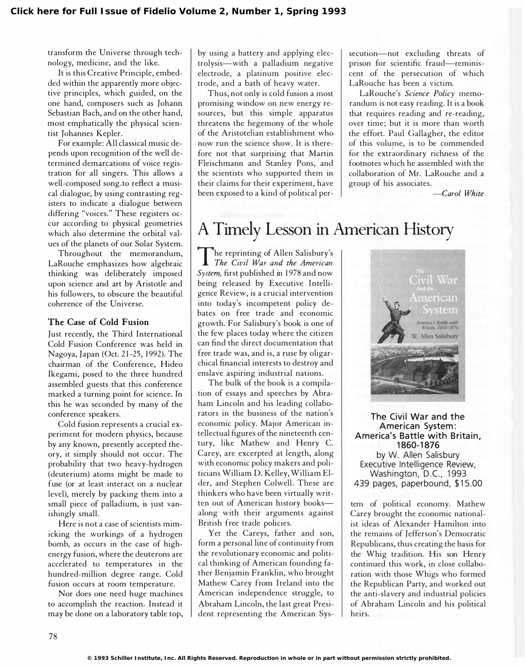transform the Universe through technology, medicine, and the like.

It is this Creative Principle, embedded within the apparently more objective principles, which guided, on the one hand, composers such as Johann Sebastian Bach, and on the other hand, most emphatically the physical scientist Johannes Kepler.

For example: All classical music depends upon recognition of the well determined demarcations of voice registration for all singers. This allows a well-composed song. to reflect a musical dialogue, by using contrasting registers to indicate a dialogue between differing "voices." These registers occur according to physical geometries which also determine the orbital values of the planets of our Solar System.

Throughout the memorandum, LaRouche emphasizes how algebraic thinking was deliberately imposed upon science and art by Aristotle and his followers, to obscure the beautiful coherence of the Universe.

#### The Case of Cold Fusion

Just recently, the Third International Cold Fusion Conference was held in Nagoya, Japan (Oct. 21-25, 1992). The chairman of the Conference, Hideo Ikegami, posed to the three hundred assembled guests that this conference marked a turning point for science. In this he was seconded by many of the conference speakers.

Cold fusion represents a crucial experiment for modern physics, because by any known, presently accepted theory, it simply should not occur. The probability that two heavy-hydrogen (deuterium) atoms might be made to fuse (or at least interact on a nuclear level), merely by packing them into a small piece of palladium, is just vanishingly small.

Here is not a case of scientists mimicking the workings of a hydrogen bomb, as occurs in the case of highenergy fusion, where the deuterons are accelerated to temperatures in the hundred-million degree range. Cold fusion occurs at room temperature.

Nor does one need huge machines to accomplish the reaction. Instead it may be done on a laboratory table top, by using a battery and applying electrolysis-with a palladium negative electrode, a platinum positive electrode, and a bath of heavy water.

Thus, not only is cold fusion a most promising window on new energy resources, but this simple apparatus threatens the hegemony of the whole of the Aristotelian establishment who now run the science show. It is therefore not that surprising that Martin Fleischmann and Stanley Pons, and the scientists who supported them in their claims for their experiment, have been exposed to a kind of political persecution-not excluding threats of prison for scientific fraud-reminiscent of the persecution of which . LaRouche has been a victim.

LaRouche's Science Policy memorandum is not easy reading. It is a book that requires reading and re-reading, over time; but it is more than worth the effort. Paul Gallagher, the editor of this volume, is to be commended for the extraordinary richness of the footnotes which he assembled with the collaboration of Mr. LaRouche and a group of his associates.

-Carol White

## A Timely Lesson in American History

The reprinting of Allen Salisbury's<br>The Civil War and the American he reprinting of Allen Salisbury's System, first published in 1978 and now being released by Executive Intelligence Review, is a crucial intervention into today's incompetent policy debates on free trade and economic growth. For Salisbury's book is one of the few places today where the citizen can find the direct documentation that free trade was, and is, a ruse by oligarchical financial interests to destroy and enslave aspiring industrial nations.

The bulk of the book is a compilation of essays and speeches by Abraham Lincoln and his leading collaborators in the business of the nation's economic policy. Major American intellectual figures of the nineteenth century, like Mathew and Henry C. Carey, are excerpted at length, along with economic policy makers and politicians William D. Kelley, William Elder, and Stephen Colwell. These are thinkers who have been virtually written out of American history booksalong with their arguments against British free trade policies.

Yet the Careys, father and son, form a personal line of continuity from the revolutionary economic and political thinking of American founding father Benjamin Franklin, who brought Mathew Carey from Ireland into the American independence struggle, to Abraham Lincoln, the last great President representing the American Sys-



The Civil War and the American System: America's Battle with Britain, 1860-1876 by W. Allen Salisbury Executive Intelligence Review, Washington, D.C., 1993 439 pages, paperbound, \$15.00

tem of political economy. Mathew Carey brought the economic nationalist ideas of Alexander Hamilton into the remains of Jefferson's Democratic Republicans, thus creating the basis for the Whig tradition. His son Henry continued this work, in close collaboration with those Whigs who formed the Republican Party, and worked out the anti-slavery and industrial policies of Abraham Lincoln and his political heirs.